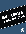# GROCERIES <sub>THE CLUB</sub> FROM THE CLUB

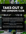# **TAKE-OUT THE LONDON CLUB @**

**Don't worry, our take-out system is contact-free.** When you place your order, you will be able to choose a pick-up time, and when you arrive at the Club, all you have to do is give us a call and we will bring out the order and place it right in your trunk! All payments will be put through your member account.

Order deadline is Wednesday at 1:00pm for pick up on Friday between 9am and 4pm.

Questions? Please contact Caitlyn Hunter at chunter@londonclub.com. Please select from the items below, which are subject to availability.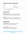# **Take-Out from The London Club**

#### First Name Last Name

Email Membership Number

Pick Up Time on Friday (between 12pm and 4pm)

#### **House Made Pot Pies**

Steak & Mushroom Pot Pie braised beef, roasted mushrooms, rich beef gravy and topped with puff pastry Ready for oven (serves 2-3 people) | \$20 | Enter Requested Quantity Below

Chicken Pot Pie diced chicken breast, mirepoix, creamy chicken gravy and topped with puff pastry Ready for oven (serves 2-3 people) | \$18 | Enter Requested Quantity Below

#### **House Made Lasagna**

Large Pomodoro Lasagna house made tomato sauce, ricotta cheese, mozzarella & Grana Padano (serves 6-8 people) | \$26 | Enter Requested Quantity Below

Large Lasagna Bolognese house made meat sauce, bechamel, mozzarella & Grana Padano (serves 6-8 people) | \$28 | Enter Requested Quantity Below

**Once you have downloaded and completed this PDF form, click 'Save' and email the document to chunter@londonclub.com. Please make sure to double check your order and make sure that your order has been saved.**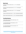## **Baked Goods**

Cookie Pucks, Chocolate Chip, Bake at Home, 1 dz. | \$11 | Enter Requested Quantity Below

Cookie Pucks, Double Chocolate, Bake at Home, 1 dz. | \$11 | Enter Requested Quantity Below

Cookie Pucks, Oatmeal Raisin, Bake at Home, 1 dz. | \$11 | Enter Requested Quantity Below

Croissants, Mini All Butter, Bake at Home, 1 dz. | \$26 | Enter Requested Quantity Below

Danishes, Assorted Variety, Bake at Home, 1 dz. | \$18 | Enter Requested Quantity Below

### **Fresh Meat Selections**

1/2 Rack of Ontario Lamb *with caramelized shallot demi glace* | \$40 | Enter Requested Quantity Below

7 oz. Ontario AAA Beef Tenderloin *with bourdelaise sauce* | \$29 | Enter Requested Quantity Below

10 oz. Ontario AAA Striploin Steak *with a red wine reduction* | \$27 | Enter Requested Quantity Below

>>

**Once you have downloaded and completed this PDF form, click 'Save' and email the document to chunter@londonclub.com. Please make sure to double check your order and make sure that your order has been saved.**